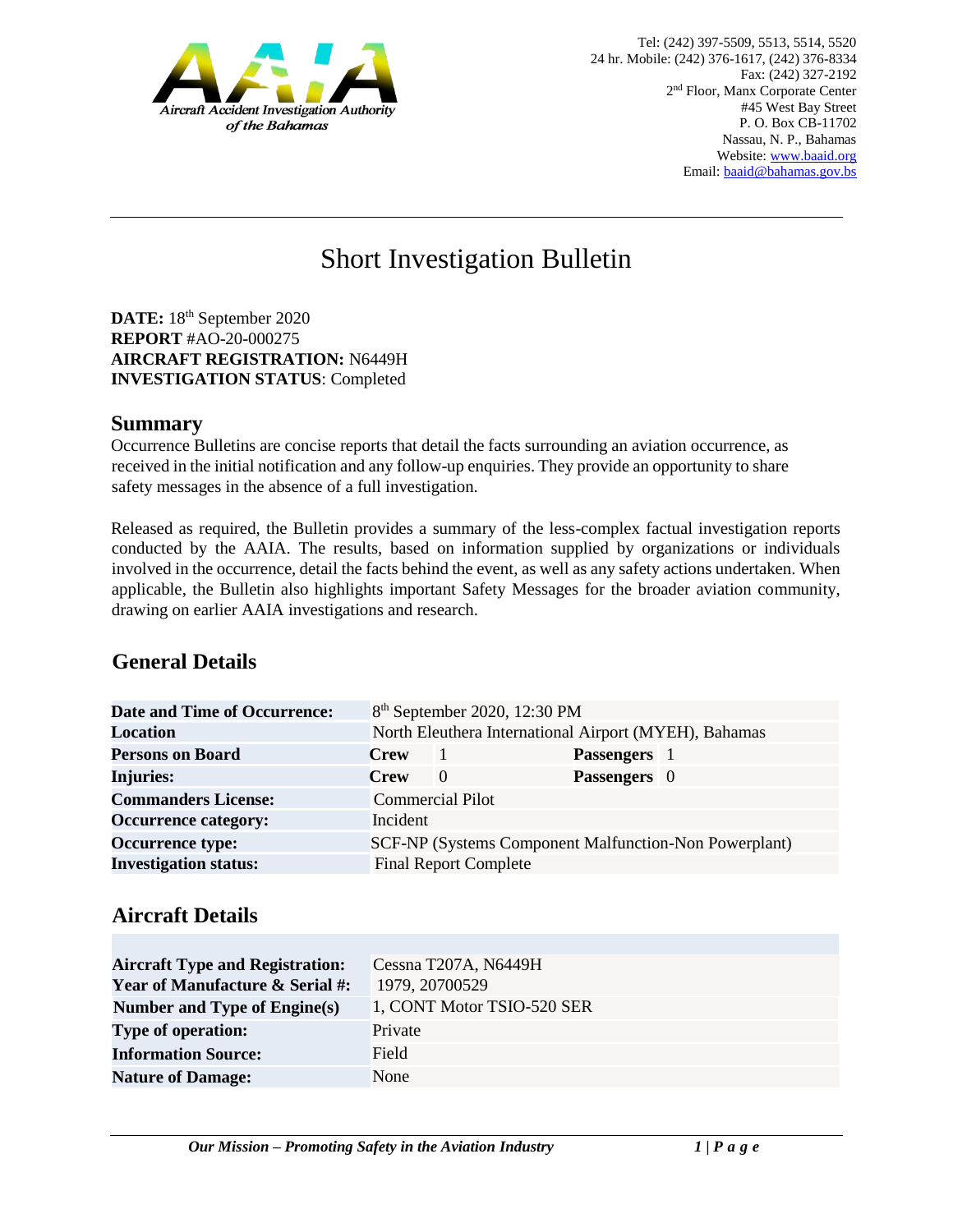

# Short Investigation Bulletin

DATE: 18<sup>th</sup> September 2020 **REPORT** #AO-20-000275 **AIRCRAFT REGISTRATION:** N6449H **INVESTIGATION STATUS**: Completed

#### **Summary**

Occurrence Bulletins are concise reports that detail the facts surrounding an aviation occurrence, as received in the initial notification and any follow-up enquiries. They provide an opportunity to share safety messages in the absence of a full investigation*.* 

Released as required, the Bulletin provides a summary of the less-complex factual investigation reports conducted by the AAIA. The results, based on information supplied by organizations or individuals involved in the occurrence, detail the facts behind the event, as well as any safety actions undertaken. When applicable, the Bulletin also highlights important Safety Messages for the broader aviation community, drawing on earlier AAIA investigations and research.

# **General Details**

| <b>Date and Time of Occurrence:</b> | 8 <sup>th</sup> September 2020, 12:30 PM              |                              |              |  |
|-------------------------------------|-------------------------------------------------------|------------------------------|--------------|--|
| <b>Location</b>                     | North Eleuthera International Airport (MYEH), Bahamas |                              |              |  |
| <b>Persons on Board</b>             | <b>Crew</b>                                           |                              | Passengers 1 |  |
| <b>Injuries:</b>                    | <b>Crew</b>                                           | $\Omega$                     | Passengers 0 |  |
| <b>Commanders License:</b>          |                                                       | <b>Commercial Pilot</b>      |              |  |
| <b>Occurrence category:</b>         | Incident                                              |                              |              |  |
| <b>Occurrence type:</b>             | SCF-NP (Systems Component Malfunction-Non Powerplant) |                              |              |  |
| <b>Investigation status:</b>        |                                                       | <b>Final Report Complete</b> |              |  |

### **Aircraft Details**

| <b>Aircraft Type and Registration:</b><br><b>Year of Manufacture &amp; Serial #:</b> | Cessna T207A, N6449H<br>1979, 20700529 |
|--------------------------------------------------------------------------------------|----------------------------------------|
| Number and Type of Engine(s)                                                         | 1, CONT Motor TSIO-520 SER             |
| <b>Type of operation:</b>                                                            | Private                                |
| <b>Information Source:</b>                                                           | Field                                  |
| <b>Nature of Damage:</b>                                                             | None                                   |